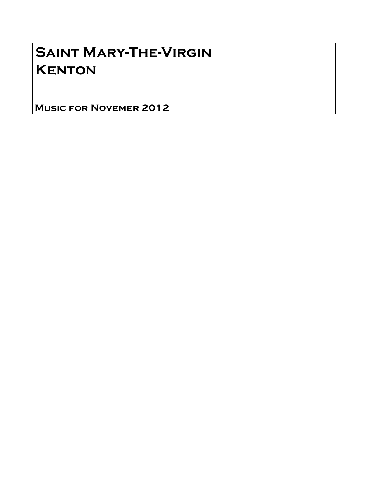# Saint Mary-The-Virgin **KENTON**

Music for Novemer 2012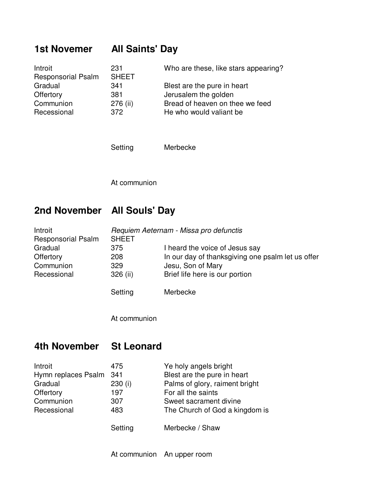# **1st Novemer All Saints' Day**

| Introit                   | 231          | Who are these, like stars appearing? |
|---------------------------|--------------|--------------------------------------|
| <b>Responsorial Psalm</b> | <b>SHEET</b> |                                      |
| Gradual                   | 341          | Blest are the pure in heart          |
| Offertory                 | 381          | Jerusalem the golden                 |
| Communion                 | 276 (ii)     | Bread of heaven on thee we feed      |
| Recessional               | 372          | He who would valiant be              |

Setting Merbecke

At communion

## **2nd November All Souls' Day**

| Introit                   | Requiem Aeternam - Missa pro defunctis |                                                   |  |
|---------------------------|----------------------------------------|---------------------------------------------------|--|
| <b>Responsorial Psalm</b> | <b>SHEET</b>                           |                                                   |  |
| Gradual                   | 375                                    | I heard the voice of Jesus say                    |  |
| Offertory                 | 208                                    | In our day of thanksgiving one psalm let us offer |  |
| Communion                 | 329                                    | Jesu, Son of Mary                                 |  |
| Recessional               | 326 (ii)                               | Brief life here is our portion                    |  |
|                           | Setting                                | Merbecke                                          |  |

At communion

#### **4th November St Leonard**

| Introit                 | 475     | Ye holy angels bright          |
|-------------------------|---------|--------------------------------|
| Hymn replaces Psalm 341 |         | Blest are the pure in heart    |
| Gradual                 | 230(i)  | Palms of glory, raiment bright |
| Offertory               | 197     | For all the saints             |
| Communion               | 307     | Sweet sacrament divine         |
| Recessional             | 483     | The Church of God a kingdom is |
|                         | Setting | Merbecke / Shaw                |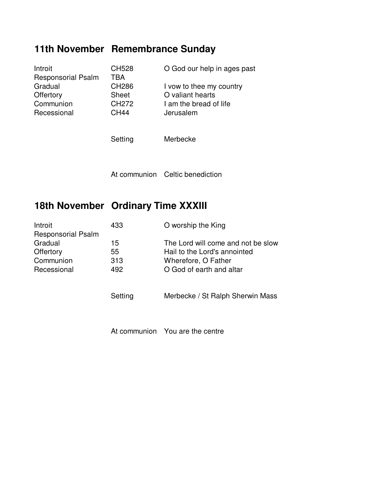#### **11th November Remembrance Sunday**

| Introit                   | <b>CH528</b> | O God our help in ages past |
|---------------------------|--------------|-----------------------------|
| <b>Responsorial Psalm</b> | TBA          |                             |
| Gradual                   | <b>CH286</b> | I vow to thee my country    |
| Offertory                 | <b>Sheet</b> | O valiant hearts            |
| Communion                 | <b>CH272</b> | I am the bread of life      |
| Recessional               | <b>CH44</b>  | Jerusalem                   |
|                           |              |                             |

Setting Merbecke

At communion Celtic benediction

## **18th November Ordinary Time XXXIII**

| Introit                   | 433 | O worship the King                 |
|---------------------------|-----|------------------------------------|
| <b>Responsorial Psalm</b> |     |                                    |
| Gradual                   | 15  | The Lord will come and not be slow |
| Offertory                 | 55  | Hail to the Lord's annointed       |
| Communion                 | 313 | Wherefore, O Father                |
| Recessional               | 492 | O God of earth and altar           |

Setting Merbecke / St Ralph Sherwin Mass

At communion You are the centre